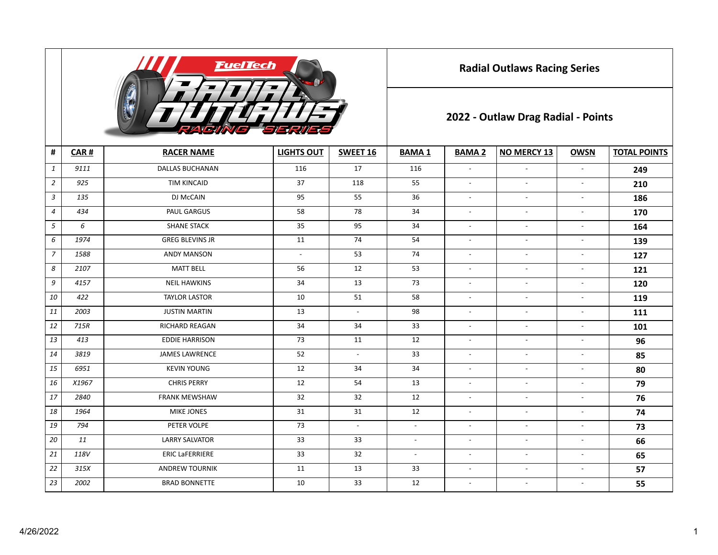

**Radial Outlaws Racing Series**

## **2022 - Outlaw Drag Radial - Points**

| #              | CAR#  | <b>RACER NAME</b>      | <b>LIGHTS OUT</b>        | SWEET 16                 | <b>BAMA1</b>   | <b>BAMA 2</b>            | <b>NO MERCY 13</b>       | <b>OWSN</b>              | <b>TOTAL POINTS</b> |  |  |
|----------------|-------|------------------------|--------------------------|--------------------------|----------------|--------------------------|--------------------------|--------------------------|---------------------|--|--|
| $\mathbf{1}$   | 9111  | <b>DALLAS BUCHANAN</b> | 116                      | 17                       | 116            | $\blacksquare$           | $\overline{\phantom{a}}$ | $\overline{\phantom{a}}$ | 249                 |  |  |
| $\overline{2}$ | 925   | <b>TIM KINCAID</b>     | 37                       | 118                      | 55             | $\overline{a}$           | $\overline{\phantom{a}}$ | $\overline{\phantom{a}}$ | 210                 |  |  |
| $\mathbf{3}$   | 135   | DJ McCAIN              | 95                       | 55                       | 36             | $\overline{a}$           | $\overline{\phantom{a}}$ | $\overline{\phantom{a}}$ | 186                 |  |  |
| $\overline{4}$ | 434   | PAUL GARGUS            | 58                       | 78                       | 34             | $\overline{\phantom{a}}$ | $\overline{\phantom{a}}$ | $\overline{\phantom{a}}$ | 170                 |  |  |
| 5              | 6     | <b>SHANE STACK</b>     | 35                       | 95                       | 34             | $\overline{a}$           | $\overline{\phantom{a}}$ | $\overline{\phantom{a}}$ | 164                 |  |  |
| 6              | 1974  | <b>GREG BLEVINS JR</b> | 11                       | 74                       | 54             | $\overline{\phantom{a}}$ | $\overline{\phantom{a}}$ | $\overline{\phantom{a}}$ | 139                 |  |  |
| $\overline{7}$ | 1588  | <b>ANDY MANSON</b>     | $\overline{\phantom{a}}$ | 53                       | 74             | $\blacksquare$           | $\overline{\phantom{a}}$ | $\overline{\phantom{a}}$ | 127                 |  |  |
| 8              | 2107  | <b>MATT BELL</b>       | 56                       | 12                       | 53             | $\overline{\phantom{a}}$ | $\overline{\phantom{a}}$ | $\overline{\phantom{a}}$ | 121                 |  |  |
| 9              | 4157  | <b>NEIL HAWKINS</b>    | 34                       | 13                       | 73             | $\overline{\phantom{a}}$ | $\blacksquare$           | $\overline{\phantom{a}}$ | 120                 |  |  |
| 10             | 422   | <b>TAYLOR LASTOR</b>   | 10                       | 51                       | 58             | $\overline{\phantom{a}}$ | $\overline{\phantom{a}}$ | $\overline{\phantom{a}}$ | 119                 |  |  |
| 11             | 2003  | <b>JUSTIN MARTIN</b>   | 13                       | $\overline{\phantom{a}}$ | 98             | $\overline{\phantom{a}}$ | $\sim$                   | $\blacksquare$           | 111                 |  |  |
| 12             | 715R  | <b>RICHARD REAGAN</b>  | 34                       | 34                       | 33             | $\overline{\phantom{a}}$ | $\overline{\phantom{a}}$ | $\overline{\phantom{a}}$ | 101                 |  |  |
| 13             | 413   | <b>EDDIE HARRISON</b>  | 73                       | 11                       | 12             | $\overline{\phantom{a}}$ | $\overline{\phantom{a}}$ | $\overline{\phantom{a}}$ | 96                  |  |  |
| 14             | 3819  | <b>JAMES LAWRENCE</b>  | 52                       | $\sim$                   | 33             | $\overline{\phantom{a}}$ | $\overline{\phantom{a}}$ | $\overline{\phantom{a}}$ | 85                  |  |  |
| 15             | 6951  | <b>KEVIN YOUNG</b>     | 12                       | 34                       | 34             | $\overline{\phantom{a}}$ | $\overline{\phantom{a}}$ | $\overline{\phantom{a}}$ | 80                  |  |  |
| 16             | X1967 | <b>CHRIS PERRY</b>     | 12                       | 54                       | 13             | $\overline{\phantom{a}}$ | $\overline{\phantom{a}}$ | $\overline{\phantom{a}}$ | 79                  |  |  |
| 17             | 2840  | <b>FRANK MEWSHAW</b>   | 32                       | 32                       | 12             | $\overline{\phantom{a}}$ | $\overline{\phantom{a}}$ | $\blacksquare$           | 76                  |  |  |
| 18             | 1964  | <b>MIKE JONES</b>      | 31                       | 31                       | 12             | $\blacksquare$           | $\overline{\phantom{a}}$ | $\blacksquare$           | 74                  |  |  |
| 19             | 794   | PETER VOLPE            | 73                       | $\overline{\phantom{a}}$ | $\blacksquare$ | $\overline{\phantom{a}}$ | $\overline{\phantom{a}}$ | $\overline{\phantom{a}}$ | 73                  |  |  |
| 20             | 11    | <b>LARRY SALVATOR</b>  | 33                       | 33                       | $\blacksquare$ | $\overline{\phantom{a}}$ | $\overline{\phantom{a}}$ | $\overline{\phantom{a}}$ | 66                  |  |  |
| 21             | 118V  | <b>ERIC LaFERRIERE</b> | 33                       | 32                       | $\blacksquare$ | $\overline{\phantom{a}}$ | $\overline{\phantom{a}}$ | $\overline{\phantom{a}}$ | 65                  |  |  |
| 22             | 315X  | <b>ANDREW TOURNIK</b>  | 11                       | 13                       | 33             | $\overline{\phantom{a}}$ | $\overline{\phantom{a}}$ | $\overline{\phantom{a}}$ | 57                  |  |  |
| 23             | 2002  | <b>BRAD BONNETTE</b>   | 10                       | 33                       | 12             | $\overline{\phantom{a}}$ | $\overline{\phantom{a}}$ | $\overline{\phantom{a}}$ | 55                  |  |  |
|                |       |                        |                          |                          |                |                          |                          |                          |                     |  |  |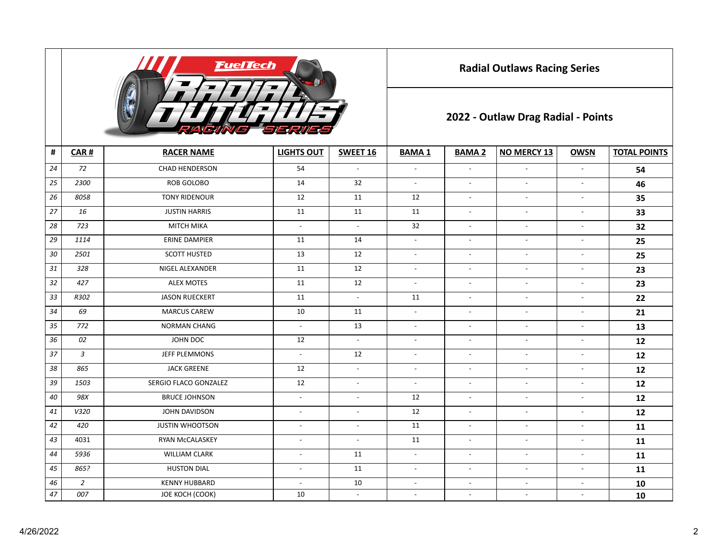

**Radial Outlaws Racing Series**

## **2022 - Outlaw Drag Radial - Points**

| $\pmb{\sharp}$ | CAR#           | <b>RACER NAME</b>      | <b>LIGHTS OUT</b>        | <b>SWEET 16</b>             | <b>BAMA1</b>              | <b>BAMA 2</b>            | <b>NO MERCY 13</b>       | <b>OWSN</b>              | <b>TOTAL POINTS</b> |
|----------------|----------------|------------------------|--------------------------|-----------------------------|---------------------------|--------------------------|--------------------------|--------------------------|---------------------|
| 24             | 72             | <b>CHAD HENDERSON</b>  | 54                       | $\overline{\phantom{a}}$    | $\overline{a}$            | $\sim$                   | $\overline{a}$           | $\overline{a}$           | 54                  |
| 25             | 2300           | ROB GOLOBO             | 14                       | 32                          | $\blacksquare$            | $\overline{\phantom{a}}$ | $\mathbb{L}$             | $\overline{\phantom{a}}$ | 46                  |
| 26             | 8058           | <b>TONY RIDENOUR</b>   | 12                       | 11                          | 12                        | $\overline{\phantom{a}}$ | $\mathbb{Z}^2$           | $\blacksquare$           | 35                  |
| 27             | 16             | <b>JUSTIN HARRIS</b>   | $11\,$                   | 11                          | 11                        | $\sim$                   | $\mathbb{L}$             | $\sim$                   | 33                  |
| 28             | 723            | <b>MITCH MIKA</b>      | $\overline{\phantom{a}}$ | $\blacksquare$              | 32                        | $\overline{\phantom{a}}$ | $\overline{\phantom{a}}$ | $\overline{\phantom{a}}$ | 32                  |
| 29             | 1114           | <b>ERINE DAMPIER</b>   | 11                       | 14                          | $\mathbb{L}^{\mathbb{N}}$ | $\sim$                   | $\mathbb{L}$             | $\blacksquare$           | 25                  |
| 30             | 2501           | <b>SCOTT HUSTED</b>    | 13                       | 12                          | $\blacksquare$            | $\blacksquare$           | $\blacksquare$           | $\overline{\phantom{a}}$ | 25                  |
| 31             | 328            | NIGEL ALEXANDER        | 11                       | 12                          | $\overline{\phantom{a}}$  | $\overline{\phantom{a}}$ | $\overline{\phantom{a}}$ | $\overline{\phantom{a}}$ | 23                  |
| 32             | 427            | <b>ALEX MOTES</b>      | 11                       | 12                          | $\overline{\phantom{a}}$  | $\overline{\phantom{a}}$ | $\blacksquare$           | $\overline{\phantom{a}}$ | 23                  |
| 33             | R302           | <b>JASON RUECKERT</b>  | 11                       | $\mathcal{L}_{\mathcal{A}}$ | 11                        | $\overline{\phantom{a}}$ | $\overline{\phantom{a}}$ | $\overline{\phantom{a}}$ | 22                  |
| 34             | 69             | <b>MARCUS CAREW</b>    | 10                       | 11                          | $\overline{\phantom{a}}$  | $\overline{\phantom{a}}$ | $\blacksquare$           | $\overline{\phantom{a}}$ | 21                  |
| 35             | 772            | <b>NORMAN CHANG</b>    | $\blacksquare$           | 13                          | $\overline{\phantom{a}}$  | $\overline{\phantom{a}}$ | $\blacksquare$           | $\overline{\phantom{a}}$ | 13                  |
| 36             | 02             | JOHN DOC               | 12                       | $\blacksquare$              | $\overline{\phantom{a}}$  | $\overline{\phantom{a}}$ | $\blacksquare$           | $\overline{\phantom{a}}$ | 12                  |
| 37             | $\mathfrak{Z}$ | JEFF PLEMMONS          | $\overline{\phantom{a}}$ | 12                          | $\overline{\phantom{a}}$  | $\blacksquare$           | $\overline{\phantom{a}}$ | $\overline{\phantom{a}}$ | 12                  |
| 38             | 865            | <b>JACK GREENE</b>     | 12                       | $\overline{\phantom{a}}$    | $\overline{\phantom{a}}$  | $\blacksquare$           | $\blacksquare$           | $\blacksquare$           | 12                  |
| 39             | 1503           | SERGIO FLACO GONZALEZ  | 12                       | $\blacksquare$              | $\overline{\phantom{a}}$  | $\overline{\phantom{a}}$ | $\blacksquare$           | $\overline{\phantom{a}}$ | 12                  |
| 40             | 98X            | <b>BRUCE JOHNSON</b>   | $\overline{\phantom{a}}$ | $\overline{\phantom{a}}$    | 12                        | $\overline{\phantom{a}}$ | $\overline{\phantom{a}}$ | $\overline{\phantom{a}}$ | 12                  |
| 41             | V320           | JOHN DAVIDSON          | $\blacksquare$           | $\sim$                      | 12                        | $\blacksquare$           | $\blacksquare$           | $\blacksquare$           | 12                  |
| 42             | 420            | <b>JUSTIN WHOOTSON</b> | $\overline{\phantom{a}}$ | $\blacksquare$              | 11                        | $\overline{\phantom{a}}$ | $\overline{\phantom{a}}$ | $\overline{\phantom{a}}$ | 11                  |
| 43             | 4031           | RYAN McCALASKEY        | $\blacksquare$           | $\sim$                      | 11                        | $\sim$                   | $\overline{a}$           | $\overline{\phantom{a}}$ | 11                  |
| 44             | 5936           | <b>WILLIAM CLARK</b>   | $\blacksquare$           | 11                          | $\blacksquare$            | $\sim$                   | $\overline{a}$           | $\blacksquare$           | 11                  |
| 45             | 865?           | <b>HUSTON DIAL</b>     | $\blacksquare$           | 11                          | $\overline{\phantom{a}}$  | $\blacksquare$           | $\overline{\phantom{a}}$ | $\blacksquare$           | 11                  |
| 46             | $\sqrt{2}$     | <b>KENNY HUBBARD</b>   | $\blacksquare$           | 10                          | $\blacksquare$            | $\blacksquare$           | $\overline{\phantom{a}}$ | $\overline{a}$           | 10                  |
| 47             | 007            | JOE KOCH (COOK)        | 10                       | $\overline{\phantom{a}}$    | $\overline{\phantom{a}}$  | $\overline{\phantom{a}}$ | $\overline{\phantom{a}}$ | $\overline{\phantom{a}}$ | 10                  |